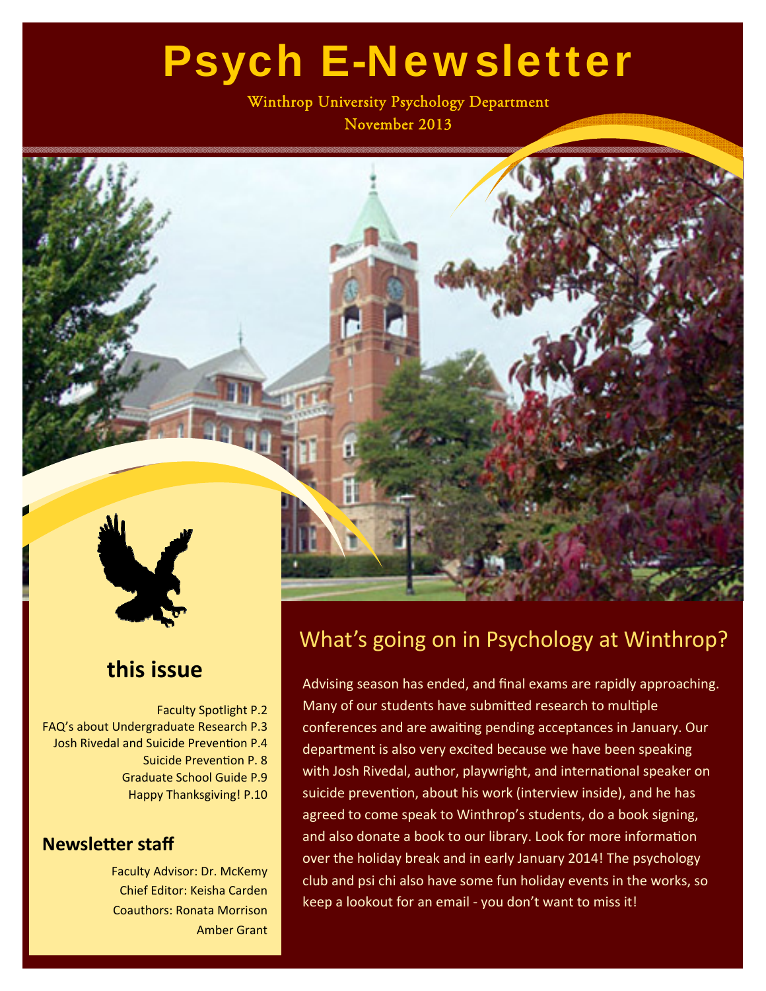# Psych E-Newsletter

Winthrop University Psychology Department November 2013



### **this issue**

Faculty Spotlight P.2 FAQ's about Undergraduate Research P.3 Josh Rivedal and Suicide Prevention P.4 Suicide Prevention P. 8 Graduate School Guide P.9 Happy Thanksgiving! P.10

#### **NewsleƩer staff**

Faculty Advisor: Dr. McKemy Chief Editor: Keisha Carden Coauthors: Ronata Morrison Amber Grant

### What's going on in Psychology at Winthrop?

Advising season has ended, and final exams are rapidly approaching. Many of our students have submitted research to multiple conferences and are awaiting pending acceptances in January. Our department is also very excited because we have been speaking with Josh Rivedal, author, playwright, and international speaker on suicide prevention, about his work (interview inside), and he has agreed to come speak to Winthrop's students, do a book signing, and also donate a book to our library. Look for more information over the holiday break and in early January 2014! The psychology club and psi chi also have some fun holiday events in the works, so keep a lookout for an email ‐ you don't want to miss it!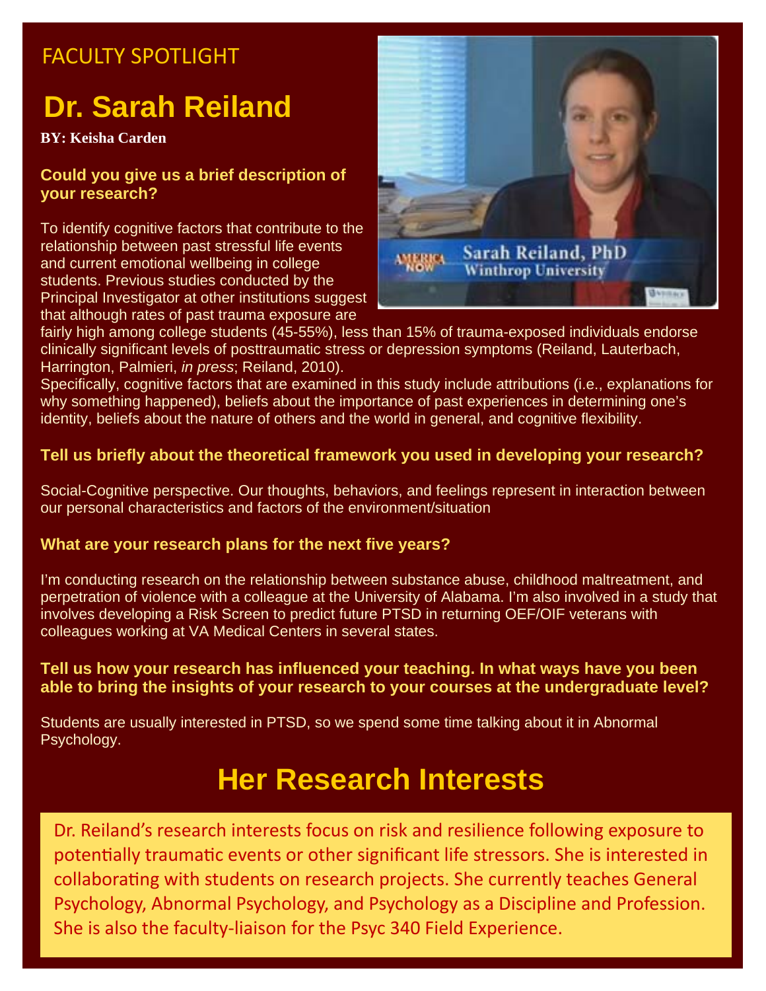### FACULTY SPOTLIGHT

# **Dr. Sarah Reiland**

**BY: Keisha Carden** 

#### **Could you give us a brief description of your research?**

To identify cognitive factors that contribute to the relationship between past stressful life events and current emotional wellbeing in college students. Previous studies conducted by the Principal Investigator at other institutions suggest that although rates of past trauma exposure are



fairly high among college students (45-55%), less than 15% of trauma-exposed individuals endorse clinically significant levels of posttraumatic stress or depression symptoms (Reiland, Lauterbach, Harrington, Palmieri, *in press*; Reiland, 2010).

Specifically, cognitive factors that are examined in this study include attributions (i.e., explanations for why something happened), beliefs about the importance of past experiences in determining one's identity, beliefs about the nature of others and the world in general, and cognitive flexibility.

#### **Tell us briefly about the theoretical framework you used in developing your research?**

Social-Cognitive perspective. Our thoughts, behaviors, and feelings represent in interaction between our personal characteristics and factors of the environment/situation

#### **What are your research plans for the next five years?**

I'm conducting research on the relationship between substance abuse, childhood maltreatment, and perpetration of violence with a colleague at the University of Alabama. I'm also involved in a study that involves developing a Risk Screen to predict future PTSD in returning OEF/OIF veterans with colleagues working at VA Medical Centers in several states.

#### **Tell us how your research has influenced your teaching. In what ways have you been able to bring the insights of your research to your courses at the undergraduate level?**

Students are usually interested in PTSD, so we spend some time talking about it in Abnormal Psychology.

## **Her Research Interests**

Dr. Reiland's research interests focus on risk and resilience following exposure to potentially traumatic events or other significant life stressors. She is interested in collaborating with students on research projects. She currently teaches General Psychology, Abnormal Psychology, and Psychology as a Discipline and Profession. She is also the faculty‐liaison for the Psyc 340 Field Experience.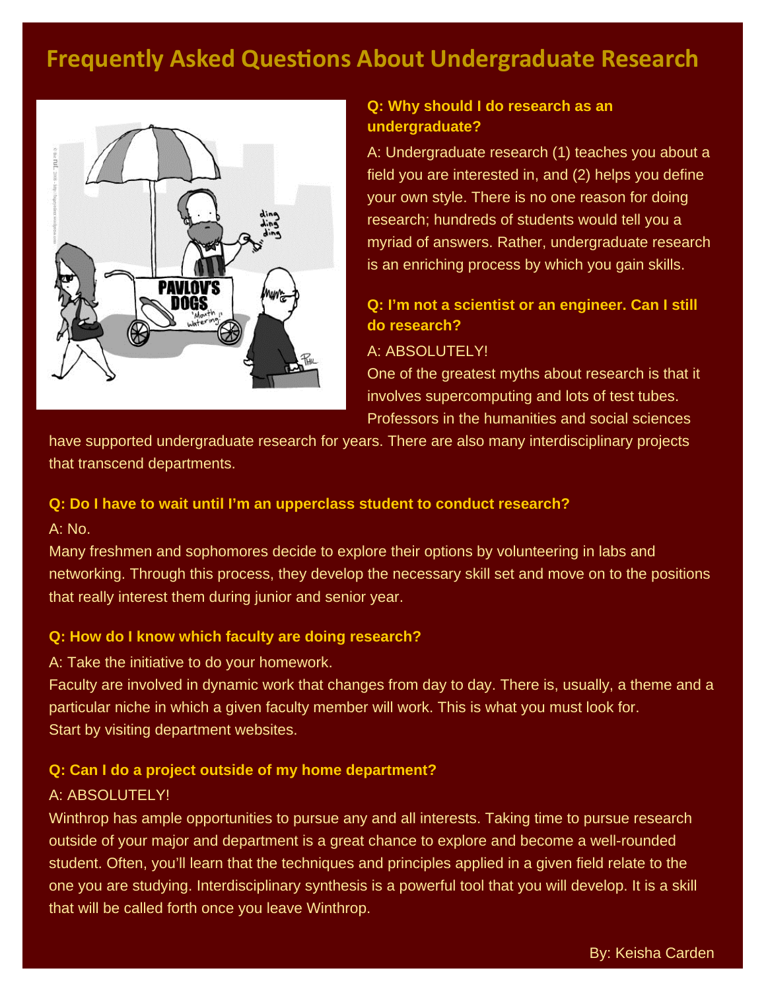### **Frequently Asked Questions About Undergraduate Research**



#### **Q: Why should I do research as an undergraduate?**

A: Undergraduate research (1) teaches you about a field you are interested in, and (2) helps you define your own style. There is no one reason for doing research; hundreds of students would tell you a myriad of answers. Rather, undergraduate research is an enriching process by which you gain skills.

#### **Q: I'm not a scientist or an engineer. Can I still do research?**

#### A: ABSOLUTELY!

One of the greatest myths about research is that it involves supercomputing and lots of test tubes. Professors in the humanities and social sciences

have supported undergraduate research for years. There are also many interdisciplinary projects that transcend departments.

#### **Q: Do I have to wait until I'm an upperclass student to conduct research?**

A: No.

Many freshmen and sophomores decide to explore their options by volunteering in labs and networking. Through this process, they develop the necessary skill set and move on to the positions that really interest them during junior and senior year.

#### **Q: How do I know which faculty are doing research?**

A: Take the initiative to do your homework.

Faculty are involved in dynamic work that changes from day to day. There is, usually, a theme and a particular niche in which a given faculty member will work. This is what you must look for. Start by visiting department websites.

#### **Q: Can I do a project outside of my home department?**

#### A: ABSOLUTELY!

Winthrop has ample opportunities to pursue any and all interests. Taking time to pursue research outside of your major and department is a great chance to explore and become a well-rounded student. Often, you'll learn that the techniques and principles applied in a given field relate to the one you are studying. Interdisciplinary synthesis is a powerful tool that you will develop. It is a skill that will be called forth once you leave Winthrop.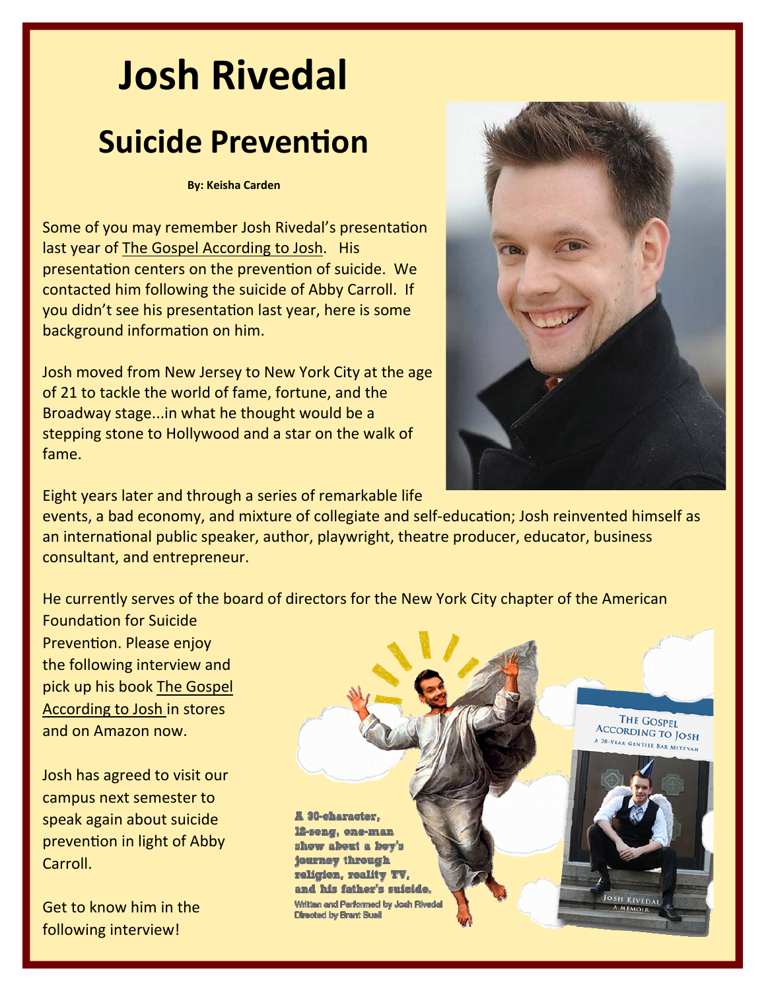# **Josh Rivedal Suicide Prevention**

#### **By: Keisha Carden**

Some of you may remember Josh Rivedal's presentation last year of The Gospel According to Josh. His presentation centers on the prevention of suicide. We contacted him following the suicide of Abby Carroll. If you didn't see his presentation last year, here is some background information on him.

Josh moved from New Jersey to New York City at the age of 21 to tackle the world of fame, fortune, and the Broadway stage...in what he thought would be a stepping stone to Hollywood and a star on the walk of fame.



Eight years later and through a series of remarkable life

events, a bad economy, and mixture of collegiate and self-education; Josh reinvented himself as an international public speaker, author, playwright, theatre producer, educator, business consultant, and entrepreneur.

He currently serves of the board of directors for the New York City chapter of the American

FoundaƟon for Suicide Prevention. Please enjoy the following interview and pick up his book The Gospel According to Josh in stores and on Amazon now.

Josh has agreed to visit our campus next semester to speak again about suicide prevention in light of Abby Carroll.

Get to know him in the following interview!

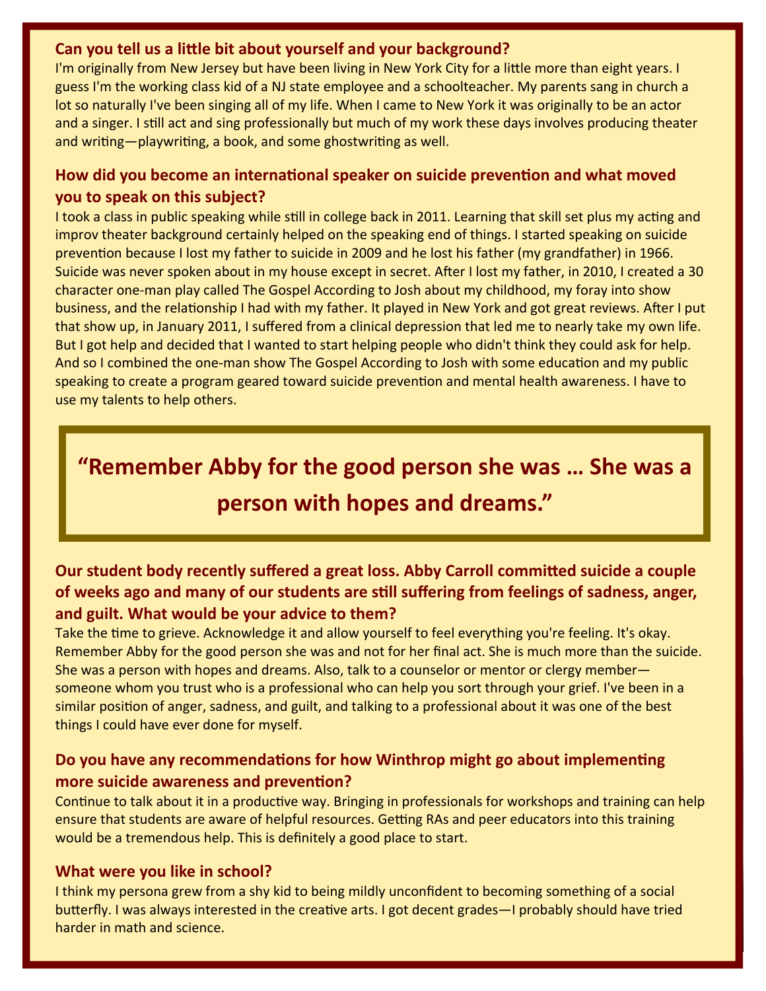#### **Can you tell us a liƩle bit about yourself and your background?**

I'm originally from New Jersey but have been living in New York City for a little more than eight years. I guess I'm the working class kid of a NJ state employee and a schoolteacher. My parents sang in church a lot so naturally I've been singing all of my life. When I came to New York it was originally to be an actor and a singer. I still act and sing professionally but much of my work these days involves producing theater and writing—playwriting, a book, and some ghostwriting as well.

#### **How did you become an internaƟonal speaker on suicide prevenƟon and what moved you to speak on this subject?**

I took a class in public speaking while still in college back in 2011. Learning that skill set plus my acting and improv theater background certainly helped on the speaking end of things. I started speaking on suicide prevention because I lost my father to suicide in 2009 and he lost his father (my grandfather) in 1966. Suicide was never spoken about in my house except in secret. After I lost my father, in 2010, I created a 30 character one‐man play called The Gospel According to Josh about my childhood, my foray into show business, and the relationship I had with my father. It played in New York and got great reviews. After I put that show up, in January 2011, I suffered from a clinical depression that led me to nearly take my own life. But I got help and decided that I wanted to start helping people who didn't think they could ask for help. And so I combined the one-man show The Gospel According to Josh with some education and my public speaking to create a program geared toward suicide prevention and mental health awareness. I have to use my talents to help others.

## **"Remember Abby for the good person she was … She was a person with hopes and dreams."**

#### **Our student body recently suffered a great loss. Abby Carroll commiƩed suicide a couple** of weeks ago and many of our students are still suffering from feelings of sadness, anger, **and guilt. What would be your advice to them?**

Take the time to grieve. Acknowledge it and allow yourself to feel everything you're feeling. It's okay. Remember Abby for the good person she was and not for her final act. She is much more than the suicide. She was a person with hopes and dreams. Also, talk to a counselor or mentor or clergy member someone whom you trust who is a professional who can help you sort through your grief. I've been in a similar position of anger, sadness, and guilt, and talking to a professional about it was one of the best things I could have ever done for myself.

#### **Do** you have any recommendations for how Winthrop might go about implementing **more** suicide awareness and prevention?

Continue to talk about it in a productive way. Bringing in professionals for workshops and training can help ensure that students are aware of helpful resources. Getting RAs and peer educators into this training would be a tremendous help. This is definitely a good place to start.

#### **What were you like in school?**

I think my persona grew from a shy kid to being mildly unconfident to becoming something of a social butterfly. I was always interested in the creative arts. I got decent grades—I probably should have tried harder in math and science.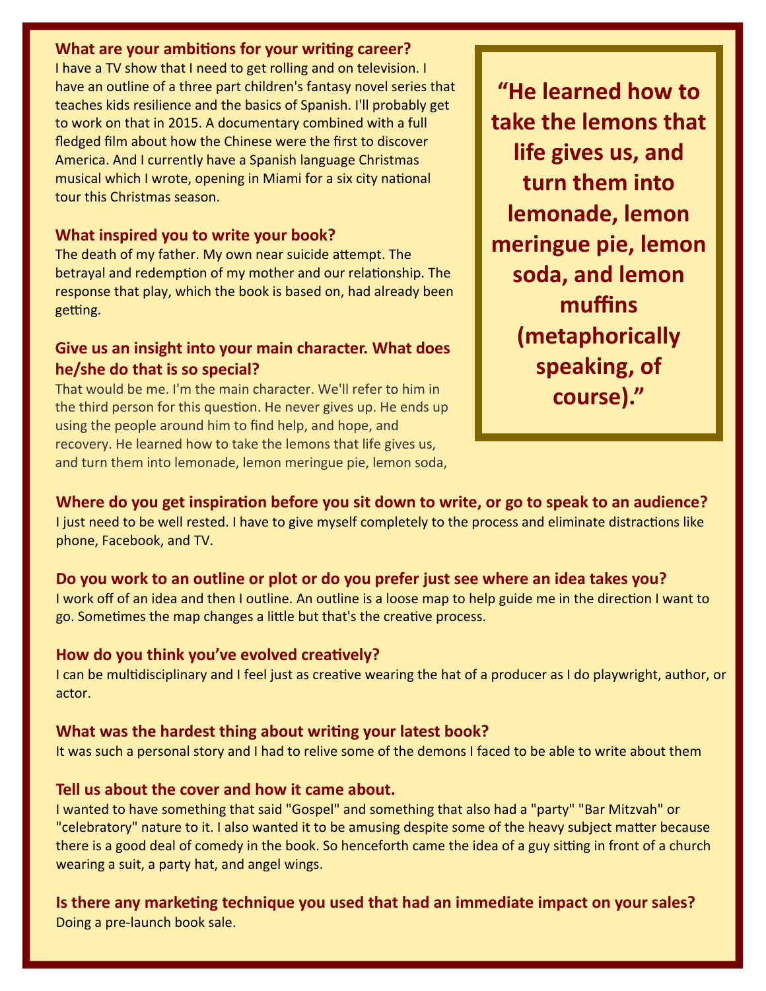#### **What are your ambitions for your writing career?**

I have a TV show that I need to get rolling and on television. I have an outline of a three part children's fantasy novel series that teaches kids resilience and the basics of Spanish. I'll probably get to work on that in 2015. A documentary combined with a full fledged film about how the Chinese were the first to discover America. And I currently have a Spanish language Christmas musical which I wrote, opening in Miami for a six city national tour this Christmas season.

#### **What inspired you to write your book?**

The death of my father. My own near suicide attempt. The betrayal and redemption of my mother and our relationship. The response that play, which the book is based on, had already been getting.

#### **Give us an insight into your main character. What does he/she do that is so special?**

That would be me. I'm the main character. We'll refer to him in the third person for this question. He never gives up. He ends up using the people around him to find help, and hope, and recovery. He learned how to take the lemons that life gives us, and turn them into lemonade, lemon meringue pie, lemon soda,

**"He learned how to take the lemons that life gives us, and turn them into lemonade, lemon meringue pie, lemon soda, and lemon muffins (metaphorically speaking, of course)."**

#### Where do you get inspiration before you sit down to write, or go to speak to an audience?

I just need to be well rested. I have to give myself completely to the process and eliminate distractions like phone, Facebook, and TV.

#### **Do you work to an outline or plot or do you prefer just see where an idea takes you?**

I work off of an idea and then I outline. An outline is a loose map to help guide me in the direction I want to go. Sometimes the map changes a little but that's the creative process.

#### **How do you think you've evolved creaƟvely?**

I can be multidisciplinary and I feel just as creative wearing the hat of a producer as I do playwright, author, or actor.

#### **What was the hardest thing about wriƟng your latest book?**

It was such a personal story and I had to relive some of the demons I faced to be able to write about them

#### **Tell us about the cover and how it came about.**

I wanted to have something that said "Gospel" and something that also had a "party" "Bar Mitzvah" or "celebratory" nature to it. I also wanted it to be amusing despite some of the heavy subject matter because there is a good deal of comedy in the book. So henceforth came the idea of a guy sitting in front of a church wearing a suit, a party hat, and angel wings.

### **Is there any markeƟng technique you used that had an immediate impact on your sales?**

Doing a pre‐launch book sale.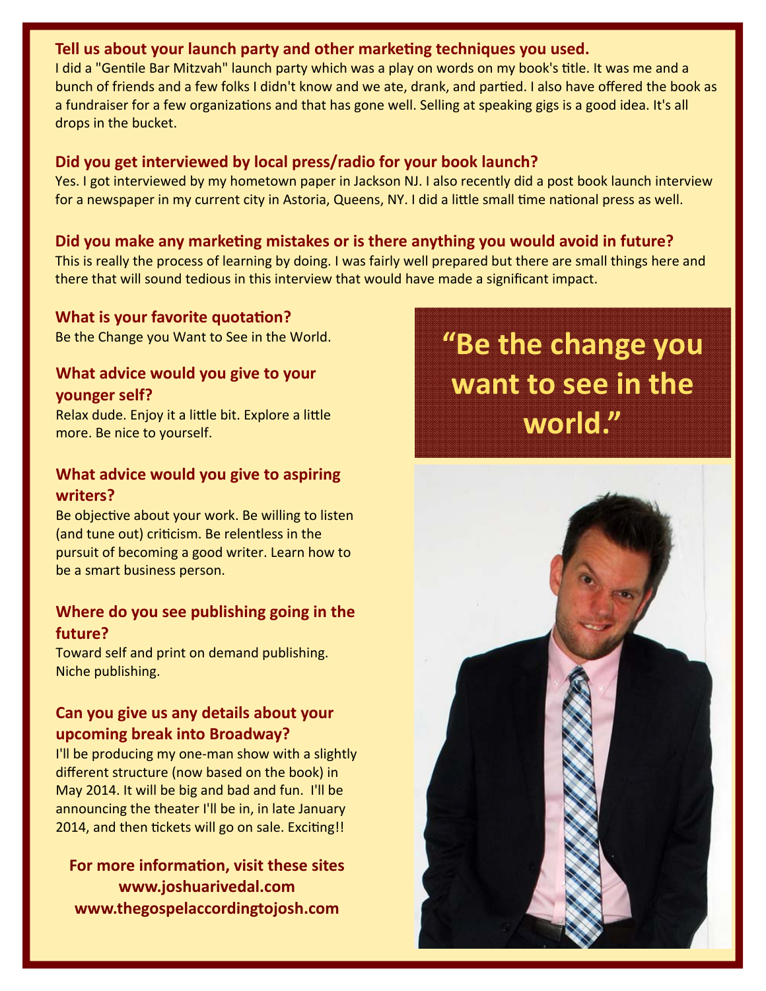#### **Tell us about your launch party and other markeƟng techniques you used.**

I did a "Gentile Bar Mitzvah" launch party which was a play on words on my book's title. It was me and a bunch of friends and a few folks I didn't know and we ate, drank, and partied. I also have offered the book as a fundraiser for a few organizations and that has gone well. Selling at speaking gigs is a good idea. It's all drops in the bucket.

#### **Did you get interviewed by local press/radio for your book launch?**

Yes. I got interviewed by my hometown paper in Jackson NJ. I also recently did a post book launch interview for a newspaper in my current city in Astoria, Queens, NY. I did a little small time national press as well.

#### **Did you make any markeƟng mistakes or is there anything you would avoid in future?**

This is really the process of learning by doing. I was fairly well prepared but there are small things here and there that will sound tedious in this interview that would have made a significant impact.

#### **What is your favorite quotation?**

Be the Change you Want to See in the World.

#### **What advice would you give to your younger self?**

Relax dude. Enjoy it a little bit. Explore a little more. Be nice to yourself.

#### **What advice would you give to aspiring writers?**

Be objective about your work. Be willing to listen (and tune out) criticism. Be relentless in the pursuit of becoming a good writer. Learn how to be a smart business person.

#### **Where do you see publishing going in the future?**

Toward self and print on demand publishing. Niche publishing.

#### **Can you give us any details about your upcoming break into Broadway?**

I'll be producing my one‐man show with a slightly different structure (now based on the book) in May 2014. It will be big and bad and fun. I'll be announcing the theater I'll be in, in late January 2014, and then tickets will go on sale. Exciting!!

**For more informaƟon, visit these sites www.joshuarivedal.com www.thegospelaccordingtojosh.com**

**"Be the change you want to see in the world."**

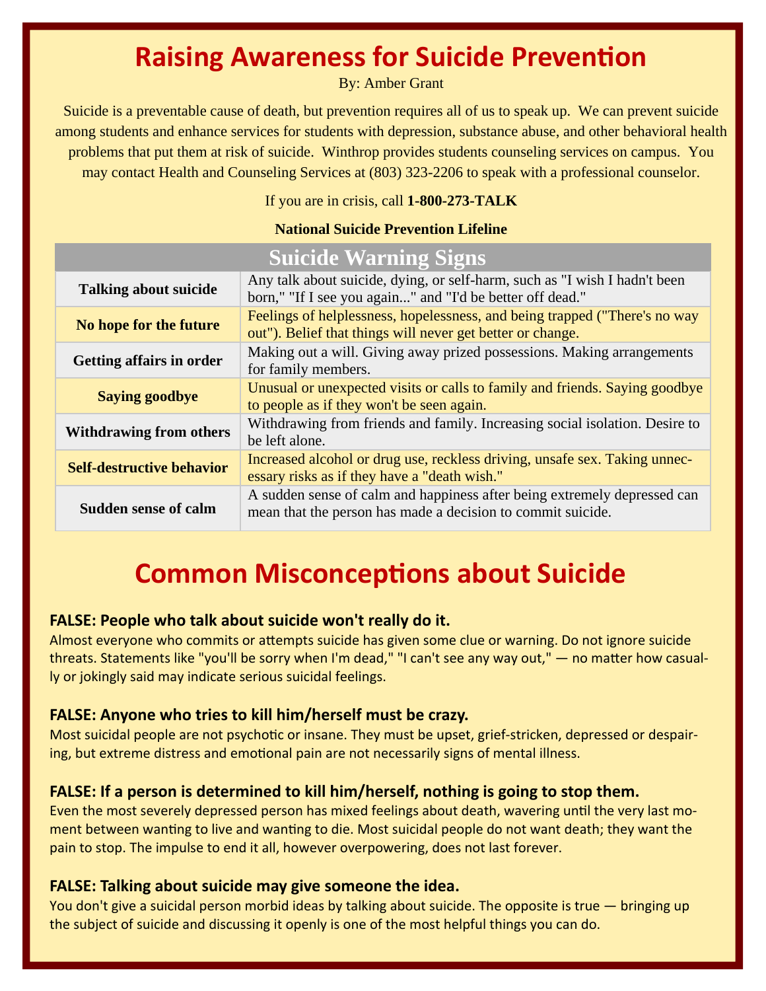### **Raising Awareness for Suicide Prevention**

By: Amber Grant

Suicide is a preventable cause of death, but prevention requires all of us to speak up. We can prevent suicide among students and enhance services for students with depression, substance abuse, and other behavioral health problems that put them at risk of suicide. Winthrop provides students counseling services on campus. You may contact Health and Counseling Services at (803) 323-2206 to speak with a professional counselor.

If you are in crisis, call **1-800-273-TALK** 

#### **National Suicide Prevention Lifeline**

| <b>Talking about suicide</b>     | Any talk about suicide, dying, or self-harm, such as "I wish I hadn't been<br>born," "If I see you again" and "I'd be better off dead."  |  |
|----------------------------------|------------------------------------------------------------------------------------------------------------------------------------------|--|
| No hope for the future           | Feelings of helplessness, hopelessness, and being trapped ("There's no way<br>out"). Belief that things will never get better or change. |  |
| <b>Getting affairs in order</b>  | Making out a will. Giving away prized possessions. Making arrangements<br>for family members.                                            |  |
| <b>Saying goodbye</b>            | Unusual or unexpected visits or calls to family and friends. Saying goodbye<br>to people as if they won't be seen again.                 |  |
| <b>Withdrawing from others</b>   | Withdrawing from friends and family. Increasing social isolation. Desire to<br>be left alone.                                            |  |
| <b>Self-destructive behavior</b> | Increased alcohol or drug use, reckless driving, unsafe sex. Taking unnec-<br>essary risks as if they have a "death wish."               |  |
| <b>Sudden sense of calm</b>      | A sudden sense of calm and happiness after being extremely depressed can<br>mean that the person has made a decision to commit suicide.  |  |

# **Suicide Warning Signs**

## **Common Misconceptions about Suicide**

#### **FALSE: People who talk about suicide won't really do it.**

Almost everyone who commits or attempts suicide has given some clue or warning. Do not ignore suicide threats. Statements like "you'll be sorry when I'm dead," "I can't see any way out," — no matter how casually or jokingly said may indicate serious suicidal feelings.

#### **FALSE: Anyone who tries to kill him/herself must be crazy.**

Most suicidal people are not psychotic or insane. They must be upset, grief-stricken, depressed or despairing, but extreme distress and emotional pain are not necessarily signs of mental illness.

#### **FALSE: If a person is determined to kill him/herself, nothing is going to stop them.**

Even the most severely depressed person has mixed feelings about death, wavering until the very last moment between wanting to live and wanting to die. Most suicidal people do not want death; they want the pain to stop. The impulse to end it all, however overpowering, does not last forever.

#### **FALSE: Talking about suicide may give someone the idea.**

You don't give a suicidal person morbid ideas by talking about suicide. The opposite is true — bringing up the subject of suicide and discussing it openly is one of the most helpful things you can do.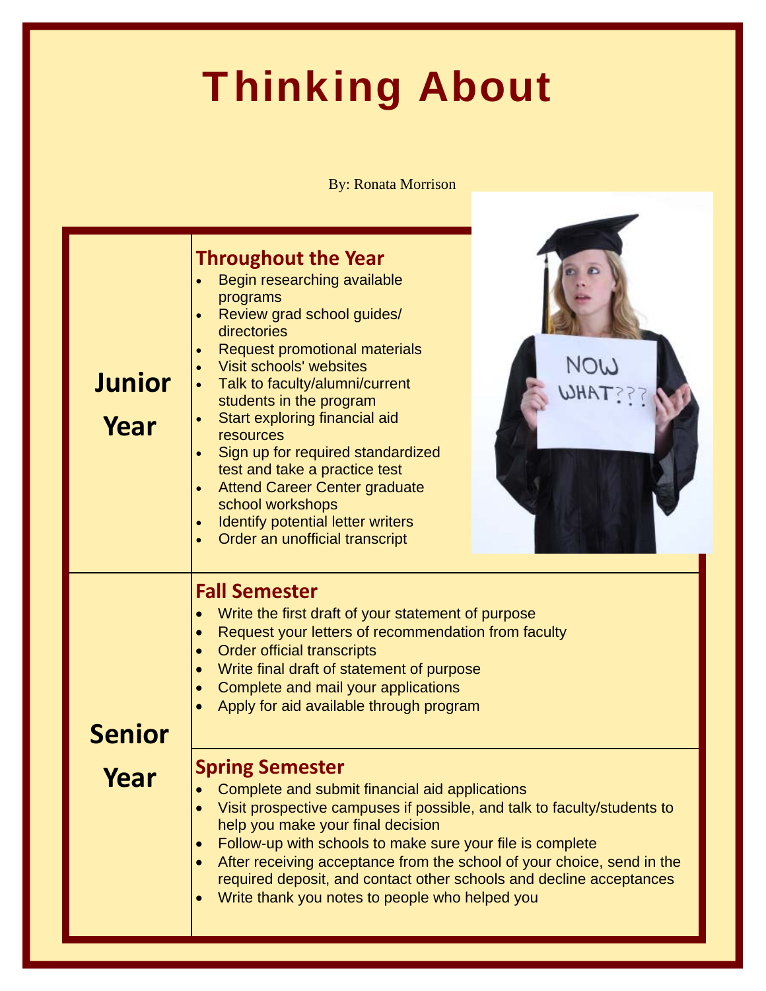# Thinking About

#### By: Ronata Morrison

| <b>Junior</b><br>Year | <b>Throughout the Year</b><br>Begin researching available<br>programs<br>Review grad school guides/<br>directories<br><b>Request promotional materials</b><br>Visit schools' websites<br>Talk to faculty/alumni/current<br>students in the program<br>Start exploring financial aid<br>$\bullet$<br>resources<br>Sign up for required standardized<br>test and take a practice test<br><b>Attend Career Center graduate</b><br>school workshops<br>Identify potential letter writers<br>Order an unofficial transcript                                                                                                                                                                                                                                                         | NOW |
|-----------------------|--------------------------------------------------------------------------------------------------------------------------------------------------------------------------------------------------------------------------------------------------------------------------------------------------------------------------------------------------------------------------------------------------------------------------------------------------------------------------------------------------------------------------------------------------------------------------------------------------------------------------------------------------------------------------------------------------------------------------------------------------------------------------------|-----|
| <b>Senior</b><br>Year | <b>Fall Semester</b><br>Write the first draft of your statement of purpose<br>Request your letters of recommendation from faculty<br>$\bullet$<br><b>Order official transcripts</b><br>Write final draft of statement of purpose<br>Complete and mail your applications<br>Apply for aid available through program<br><b>Spring Semester</b><br>Complete and submit financial aid applications<br>Visit prospective campuses if possible, and talk to faculty/students to<br>help you make your final decision<br>Follow-up with schools to make sure your file is complete<br>After receiving acceptance from the school of your choice, send in the<br>required deposit, and contact other schools and decline acceptances<br>Write thank you notes to people who helped you |     |